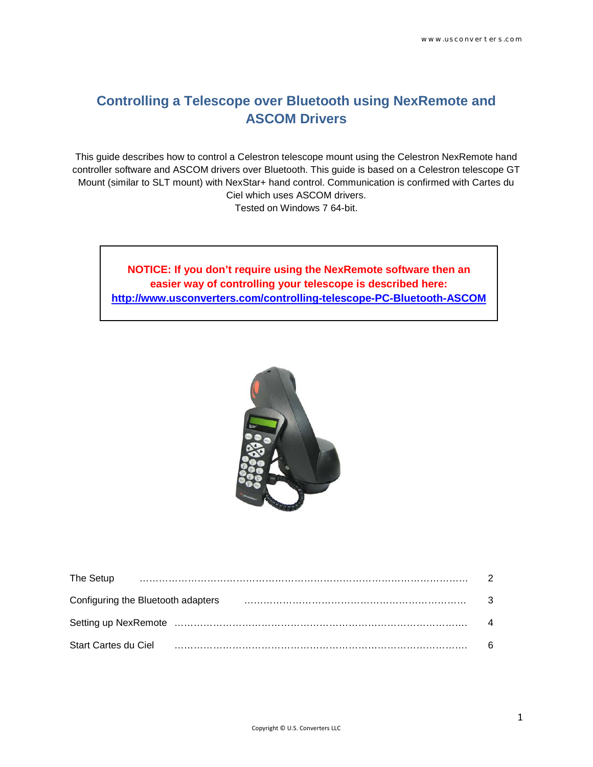# **Controlling a Telescope over Bluetooth using NexRemote and ASCOM Drivers**

This guide describes how to control a Celestron telescope mount using the Celestron NexRemote hand controller software and ASCOM drivers over Bluetooth. This guide is based on a Celestron telescope GT Mount (similar to SLT mount) with NexStar+ hand control. Communication is confirmed with Cartes du Ciel which uses ASCOM drivers. Tested on Windows 7 64-bit.

**NOTICE: If you don't require using the NexRemote software then an easier way of controlling your telescope is described here: <http://www.usconverters.com/controlling-telescope-PC-Bluetooth-ASCOM>**



| The Setup            |                                    |  | $\mathcal{P}$            |
|----------------------|------------------------------------|--|--------------------------|
|                      | Configuring the Bluetooth adapters |  | - 3                      |
|                      |                                    |  | $\overline{\mathcal{A}}$ |
| Start Cartes du Ciel |                                    |  | 6                        |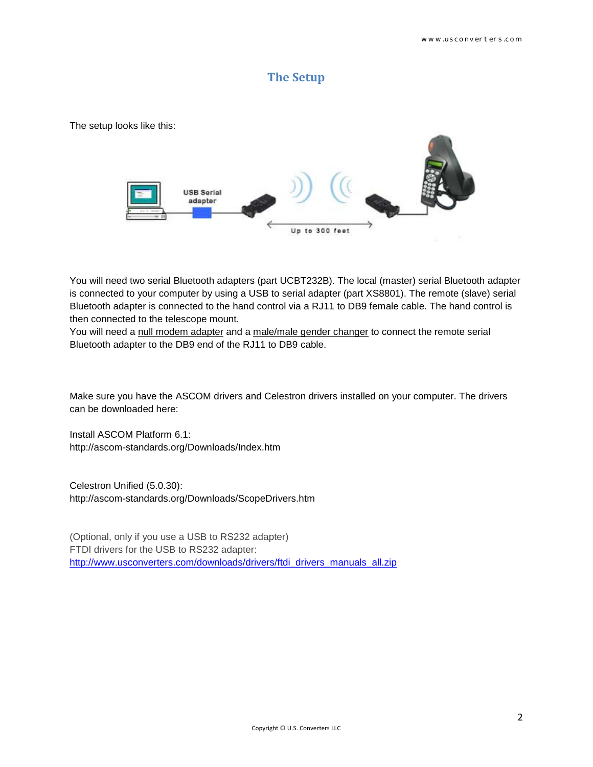### **The Setup**

The setup looks like this:



You will need two serial Bluetooth adapters (part UCBT232B). The local (master) serial Bluetooth adapter is connected to your computer by using a USB to serial adapter (part XS8801). The remote (slave) serial Bluetooth adapter is connected to the hand control via a RJ11 to DB9 female cable. The hand control is then connected to the telescope mount.

You will need a null modem adapter and a male/male gender changer to connect the remote serial Bluetooth adapter to the DB9 end of the RJ11 to DB9 cable.

Make sure you have the ASCOM drivers and Celestron drivers installed on your computer. The drivers can be downloaded here:

Install ASCOM Platform 6.1: http://ascom-standards.org/Downloads/Index.htm

Celestron Unified (5.0.30): http://ascom-standards.org/Downloads/ScopeDrivers.htm

(Optional, only if you use a USB to RS232 adapter) FTDI drivers for the USB to RS232 adapter: [http://www.usconverters.com/downloads/drivers/ftdi\\_drivers\\_manuals\\_all.zip](http://www.usconverters.com/downloads/drivers/ftdi_drivers_manuals_all.zip)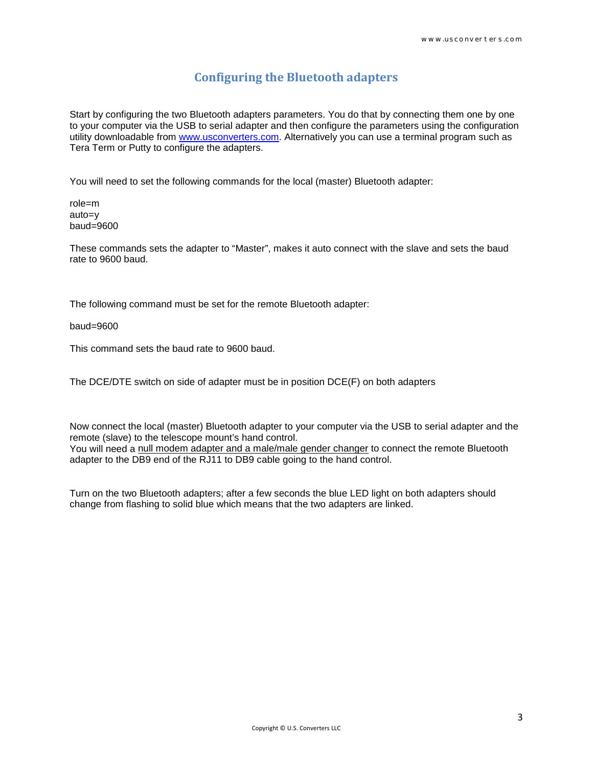## **Configuring the Bluetooth adapters**

Start by configuring the two Bluetooth adapters parameters. You do that by connecting them one by one to your computer via the USB to serial adapter and then configure the parameters using the configuration utility downloadable from [www.usconverters.com.](http://www.usconverters.com/) Alternatively you can use a terminal program such as Tera Term or Putty to configure the adapters.

You will need to set the following commands for the local (master) Bluetooth adapter:

role=m auto=y baud=9600

These commands sets the adapter to "Master", makes it auto connect with the slave and sets the baud rate to 9600 baud.

The following command must be set for the remote Bluetooth adapter:

baud=9600

This command sets the baud rate to 9600 baud.

The DCE/DTE switch on side of adapter must be in position DCE(F) on both adapters

Now connect the local (master) Bluetooth adapter to your computer via the USB to serial adapter and the remote (slave) to the telescope mount's hand control. You will need a null modem adapter and a male/male gender changer to connect the remote Bluetooth adapter to the DB9 end of the RJ11 to DB9 cable going to the hand control.

Turn on the two Bluetooth adapters; after a few seconds the blue LED light on both adapters should change from flashing to solid blue which means that the two adapters are linked.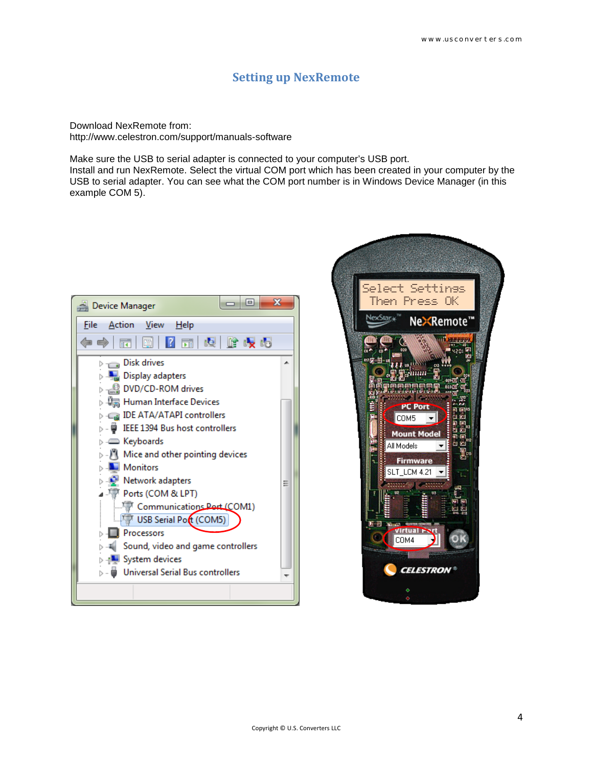#### **Setting up NexRemote**

Download NexRemote from: http://www.celestron.com/support/manuals-software

Make sure the USB to serial adapter is connected to your computer's USB port. Install and run NexRemote. Select the virtual COM port which has been created in your computer by the USB to serial adapter. You can see what the COM port number is in Windows Device Manager (in this example COM 5).



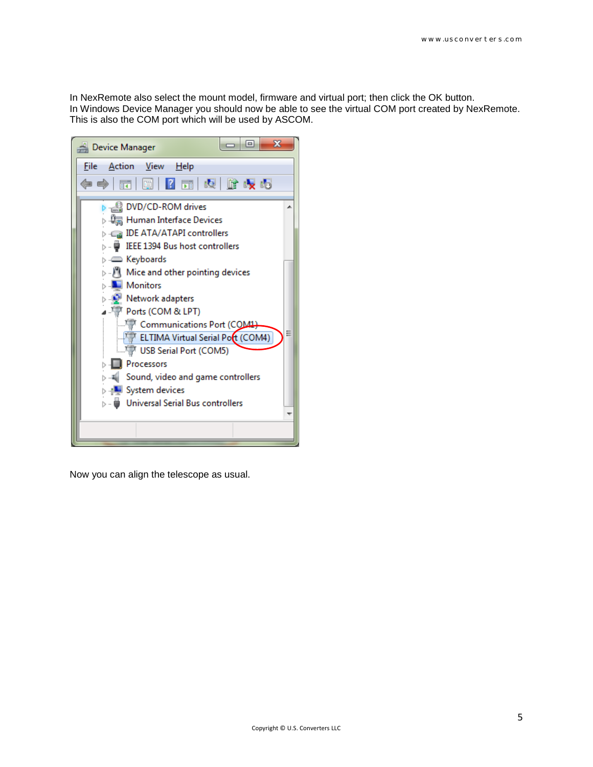In NexRemote also select the mount model, firmware and virtual port; then click the OK button. In Windows Device Manager you should now be able to see the virtual COM port created by NexRemote. This is also the COM port which will be used by ASCOM.



Now you can align the telescope as usual.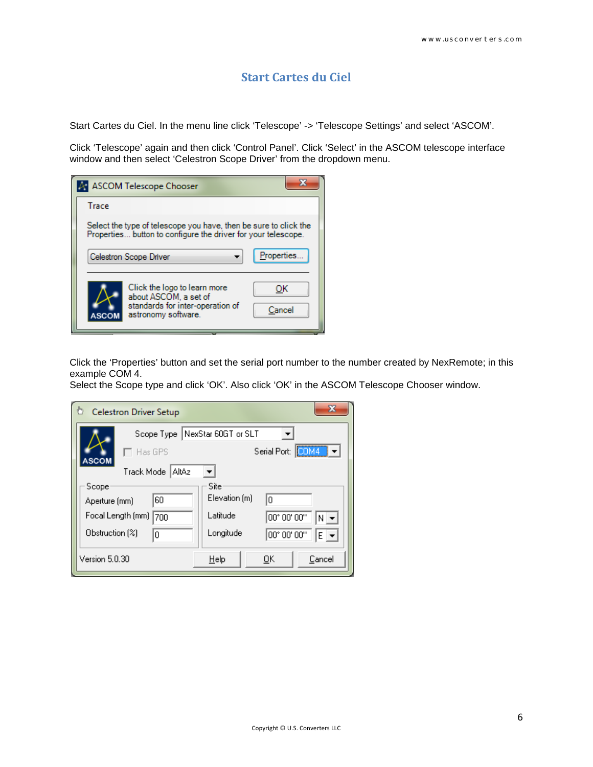## **Start Cartes du Ciel**

Start Cartes du Ciel. In the menu line click 'Telescope' -> 'Telescope Settings' and select 'ASCOM'.

Click 'Telescope' again and then click 'Control Panel'. Click 'Select' in the ASCOM telescope interface window and then select 'Celestron Scope Driver' from the dropdown menu.

|                                                                                                                                   | A ASCOM Telescope Chooser                                                                                        |              |  |  |
|-----------------------------------------------------------------------------------------------------------------------------------|------------------------------------------------------------------------------------------------------------------|--------------|--|--|
| Trace                                                                                                                             |                                                                                                                  |              |  |  |
| Select the type of telescope you have, then be sure to click the<br>Properties button to configure the driver for your telescope. |                                                                                                                  |              |  |  |
|                                                                                                                                   | Celestron Scope Driver                                                                                           | Properties   |  |  |
|                                                                                                                                   | Click the logo to learn more<br>about ASCOM, a set of<br>standards for inter-operation of<br>astronomy software. | OK<br>Cancel |  |  |

Click the 'Properties' button and set the serial port number to the number created by NexRemote; in this example COM 4.

Select the Scope type and click 'OK'. Also click 'OK' in the ASCOM Telescope Chooser window.

| $\mathbf x$<br>Ò<br><b>Celestron Driver Setup</b> |                                  |  |  |  |  |
|---------------------------------------------------|----------------------------------|--|--|--|--|
| Scope Type NexStar 60GT or SLT                    |                                  |  |  |  |  |
| Has GPS<br>ASCOM                                  | COM4<br>Serial Port:             |  |  |  |  |
| Track Mode<br>l AltAz                             |                                  |  |  |  |  |
| Scope                                             | Site                             |  |  |  |  |
| 60<br>Aperture (mm)                               | Elevation [m]<br>In              |  |  |  |  |
| Focal Length [mm] [<br>700                        | Latitude<br>00° 00' 00"<br>$N =$ |  |  |  |  |
| Obstruction [%]<br>0                              | Longitude<br>00° 00' 00"<br>E v  |  |  |  |  |
| Version 5.0.30                                    | $He$ lp<br>Cancel<br>0K          |  |  |  |  |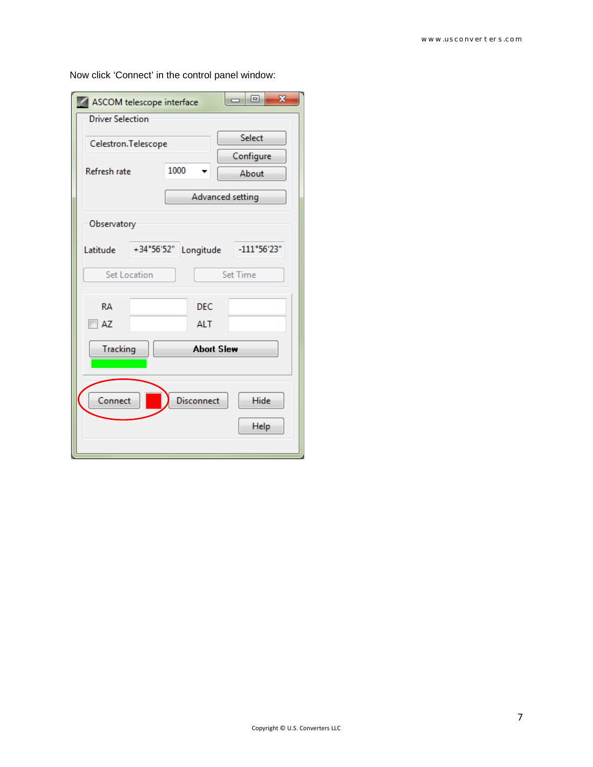| ASCOM telescope interface                                                          | $\mathbf{x}$<br>▣<br>- |  |  |  |  |  |
|------------------------------------------------------------------------------------|------------------------|--|--|--|--|--|
| <b>Driver Selection</b>                                                            |                        |  |  |  |  |  |
| Celestron.Telescope                                                                | Select                 |  |  |  |  |  |
| Configure                                                                          |                        |  |  |  |  |  |
| 1000<br>Refresh rate                                                               | About                  |  |  |  |  |  |
| Advanced setting                                                                   |                        |  |  |  |  |  |
| Observatory                                                                        |                        |  |  |  |  |  |
| $+34^{\circ}56^{\circ}52^{\circ}$<br>$-111^{\circ}56'23"$<br>Longitude<br>Latitude |                        |  |  |  |  |  |
| Set Location<br>Set Time                                                           |                        |  |  |  |  |  |
| RA<br><b>DEC</b>                                                                   |                        |  |  |  |  |  |
| AZ<br><b>ALT</b>                                                                   |                        |  |  |  |  |  |
| <b>Abort Slew</b><br><b>Tracking</b>                                               |                        |  |  |  |  |  |
|                                                                                    |                        |  |  |  |  |  |
| Connect<br>Disconnect<br>Hide                                                      |                        |  |  |  |  |  |
| Help                                                                               |                        |  |  |  |  |  |
|                                                                                    |                        |  |  |  |  |  |

Now click 'Connect' in the control panel window: